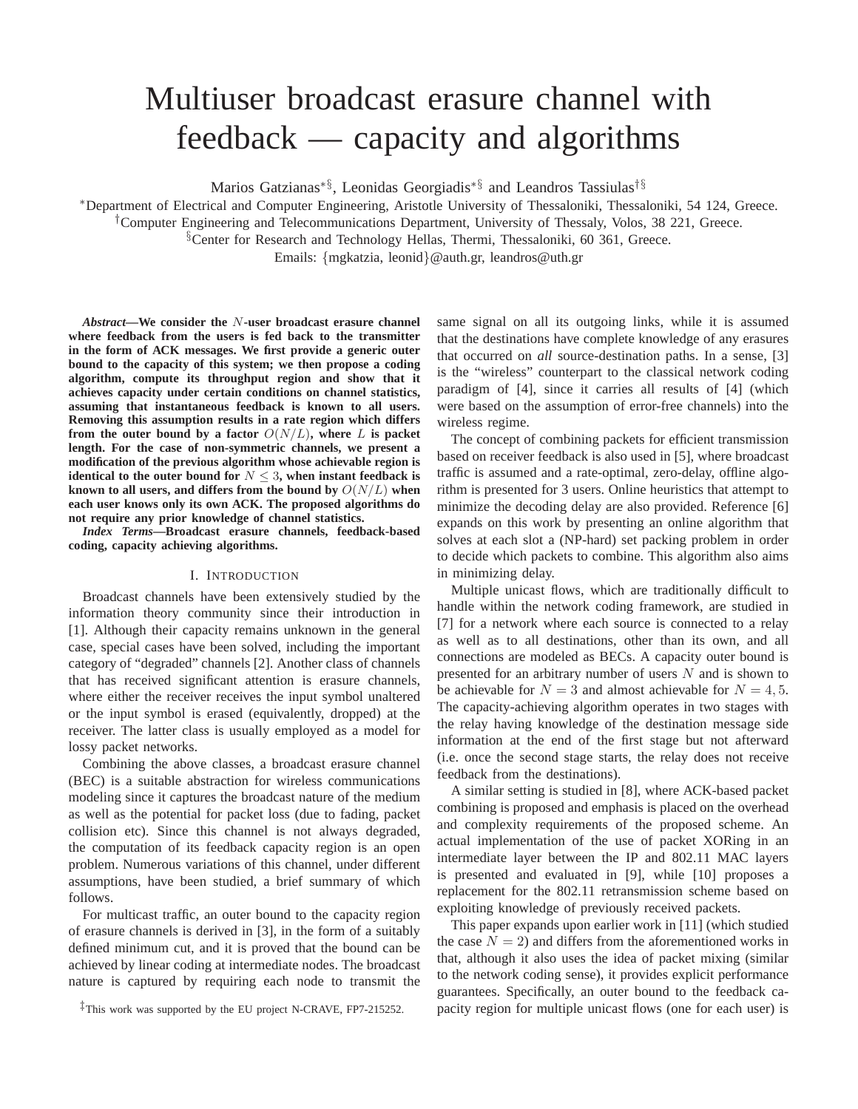# Multiuser broadcast erasure channel with feedback — capacity and algorithms

Marios Gatzianas∗§, Leonidas Georgiadis∗§ and Leandros Tassiulas†§

<sup>∗</sup>Department of Electrical and Computer Engineering, Aristotle University of Thessaloniki, Thessaloniki, 54 124, Greece.

†Computer Engineering and Telecommunications Department, University of Thessaly, Volos, 38 221, Greece.

§Center for Research and Technology Hellas, Thermi, Thessaloniki, 60 361, Greece.

Emails: {mgkatzia, leonid}@auth.gr, leandros@uth.gr

*Abstract***—We consider the** N**-user broadcast erasure channel where feedback from the users is fed back to the transmitter in the form of ACK messages. We first provide a generic outer bound to the capacity of this system; we then propose a coding algorithm, compute its throughput region and show that it achieves capacity under certain conditions on channel statistics, assuming that instantaneous feedback is known to all users. Removing this assumption results in a rate region which differs from the outer bound by a factor**  $O(N/L)$ , where L is packet **length. For the case of non-symmetric channels, we present a modification of the previous algorithm whose achievable region is identical to the outer bound for**  $N \leq 3$ , when instant feedback is **known to all users, and differs from the bound by**  $O(N/L)$  when **each user knows only its own ACK. The proposed algorithms do not require any prior knowledge of channel statistics.**

*Index Terms***—Broadcast erasure channels, feedback-based coding, capacity achieving algorithms.**

#### I. INTRODUCTION

Broadcast channels have been extensively studied by the information theory community since their introduction in [1]. Although their capacity remains unknown in the general case, special cases have been solved, including the important category of "degraded" channels [2]. Another class of channels that has received significant attention is erasure channels, where either the receiver receives the input symbol unaltered or the input symbol is erased (equivalently, dropped) at the receiver. The latter class is usually employed as a model for lossy packet networks.

Combining the above classes, a broadcast erasure channel (BEC) is a suitable abstraction for wireless communications modeling since it captures the broadcast nature of the medium as well as the potential for packet loss (due to fading, packet collision etc). Since this channel is not always degraded, the computation of its feedback capacity region is an open problem. Numerous variations of this channel, under different assumptions, have been studied, a brief summary of which follows.

For multicast traffic, an outer bound to the capacity region of erasure channels is derived in [3], in the form of a suitably defined minimum cut, and it is proved that the bound can be achieved by linear coding at intermediate nodes. The broadcast nature is captured by requiring each node to transmit the same signal on all its outgoing links, while it is assumed that the destinations have complete knowledge of any erasures that occurred on *all* source-destination paths. In a sense, [3] is the "wireless" counterpart to the classical network coding paradigm of [4], since it carries all results of [4] (which were based on the assumption of error-free channels) into the wireless regime.

The concept of combining packets for efficient transmission based on receiver feedback is also used in [5], where broadcast traffic is assumed and a rate-optimal, zero-delay, offline algorithm is presented for 3 users. Online heuristics that attempt to minimize the decoding delay are also provided. Reference [6] expands on this work by presenting an online algorithm that solves at each slot a (NP-hard) set packing problem in order to decide which packets to combine. This algorithm also aims in minimizing delay.

Multiple unicast flows, which are traditionally difficult to handle within the network coding framework, are studied in [7] for a network where each source is connected to a relay as well as to all destinations, other than its own, and all connections are modeled as BECs. A capacity outer bound is presented for an arbitrary number of users  $N$  and is shown to be achievable for  $N = 3$  and almost achievable for  $N = 4, 5$ . The capacity-achieving algorithm operates in two stages with the relay having knowledge of the destination message side information at the end of the first stage but not afterward (i.e. once the second stage starts, the relay does not receive feedback from the destinations).

A similar setting is studied in [8], where ACK-based packet combining is proposed and emphasis is placed on the overhead and complexity requirements of the proposed scheme. An actual implementation of the use of packet XORing in an intermediate layer between the IP and 802.11 MAC layers is presented and evaluated in [9], while [10] proposes a replacement for the 802.11 retransmission scheme based on exploiting knowledge of previously received packets.

This paper expands upon earlier work in [11] (which studied the case  $N = 2$ ) and differs from the aforementioned works in that, although it also uses the idea of packet mixing (similar to the network coding sense), it provides explicit performance guarantees. Specifically, an outer bound to the feedback capacity region for multiple unicast flows (one for each user) is

<sup>‡</sup>This work was supported by the EU project N-CRAVE, FP7-215252.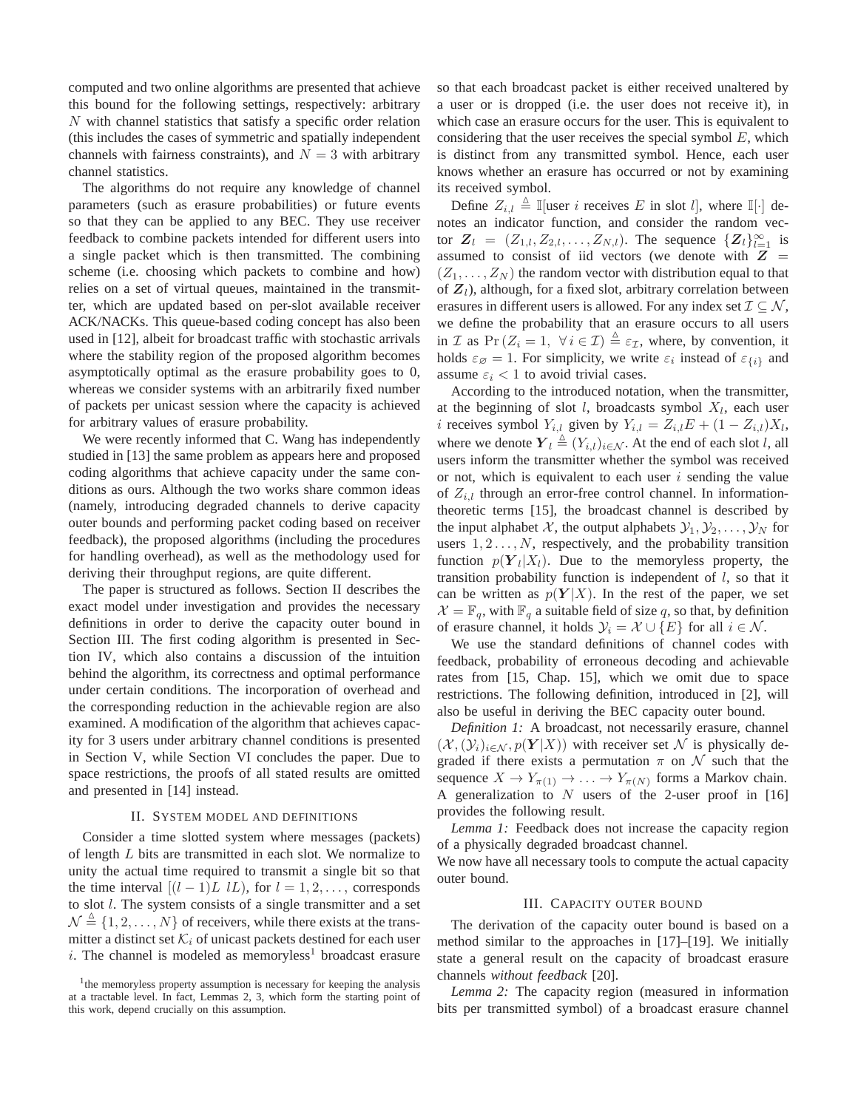computed and two online algorithms are presented that achieve this bound for the following settings, respectively: arbitrary N with channel statistics that satisfy a specific order relation (this includes the cases of symmetric and spatially independent channels with fairness constraints), and  $N = 3$  with arbitrary channel statistics.

The algorithms do not require any knowledge of channel parameters (such as erasure probabilities) or future events so that they can be applied to any BEC. They use receiver feedback to combine packets intended for different users into a single packet which is then transmitted. The combining scheme (i.e. choosing which packets to combine and how) relies on a set of virtual queues, maintained in the transmitter, which are updated based on per-slot available receiver ACK/NACKs. This queue-based coding concept has also been used in [12], albeit for broadcast traffic with stochastic arrivals where the stability region of the proposed algorithm becomes asymptotically optimal as the erasure probability goes to 0, whereas we consider systems with an arbitrarily fixed number of packets per unicast session where the capacity is achieved for arbitrary values of erasure probability.

We were recently informed that C. Wang has independently studied in [13] the same problem as appears here and proposed coding algorithms that achieve capacity under the same conditions as ours. Although the two works share common ideas (namely, introducing degraded channels to derive capacity outer bounds and performing packet coding based on receiver feedback), the proposed algorithms (including the procedures for handling overhead), as well as the methodology used for deriving their throughput regions, are quite different.

The paper is structured as follows. Section II describes the exact model under investigation and provides the necessary definitions in order to derive the capacity outer bound in Section III. The first coding algorithm is presented in Section IV, which also contains a discussion of the intuition behind the algorithm, its correctness and optimal performance under certain conditions. The incorporation of overhead and the corresponding reduction in the achievable region are also examined. A modification of the algorithm that achieves capacity for 3 users under arbitrary channel conditions is presented in Section V, while Section VI concludes the paper. Due to space restrictions, the proofs of all stated results are omitted and presented in [14] instead.

## II. SYSTEM MODEL AND DEFINITIONS

Consider a time slotted system where messages (packets) of length  $L$  bits are transmitted in each slot. We normalize to unity the actual time required to transmit a single bit so that the time interval  $[(l-1)L \, lL)$ , for  $l=1,2,\ldots$ , corresponds to slot l. The system consists of a single transmitter and a set  $\mathcal{N} \triangleq \{1, 2, ..., N\}$  of receivers, while there exists at the transmitter a distinct set  $\mathcal{K}_i$  of unicast packets destined for each user i. The channel is modeled as memoryless<sup>1</sup> broadcast erasure so that each broadcast packet is either received unaltered by a user or is dropped (i.e. the user does not receive it), in which case an erasure occurs for the user. This is equivalent to considering that the user receives the special symbol  $E$ , which is distinct from any transmitted symbol. Hence, each user knows whether an erasure has occurred or not by examining its received symbol.

Define  $Z_{i,l} \triangleq \mathbb{I}$  [user *i* receives E in slot *l*], where  $\mathbb{I}[\cdot]$  denotes an indicator function, and consider the random vector  $Z_l = (Z_{1,l}, Z_{2,l}, \ldots, Z_{N,l})$ . The sequence  $\{Z_l\}_{l=1}^{\infty}$  is assumed to consist of iid vectors (we denote with  $Z =$  $(Z_1, \ldots, Z_N)$  the random vector with distribution equal to that of  $\mathbf{Z}_l$ ), although, for a fixed slot, arbitrary correlation between erasures in different users is allowed. For any index set  $\mathcal{I} \subset \mathcal{N}$ , we define the probability that an erasure occurs to all users in  $\mathcal I$  as  $Pr(Z_i = 1, \forall i \in \mathcal I) \triangleq \varepsilon_{\mathcal I}$ , where, by convention, it holds  $\varepsilon_{\emptyset} = 1$ . For simplicity, we write  $\varepsilon_i$  instead of  $\varepsilon_{\{i\}}$  and assume  $\varepsilon_i < 1$  to avoid trivial cases.

According to the introduced notation, when the transmitter, at the beginning of slot  $l$ , broadcasts symbol  $X_l$ , each user *i* receives symbol  $Y_{i,l}$  given by  $Y_{i,l} = Z_{i,l}E + (1 - Z_{i,l})X_l$ , where we denote  $Y_l \triangleq (Y_{i,l})_{i \in \mathcal{N}}$ . At the end of each slot l, all users inform the transmitter whether the symbol was received or not, which is equivalent to each user  $i$  sending the value of  $Z_{i,l}$  through an error-free control channel. In informationtheoretic terms [15], the broadcast channel is described by the input alphabet X, the output alphabets  $\mathcal{Y}_1, \mathcal{Y}_2, \ldots, \mathcal{Y}_N$  for users  $1, 2, \ldots, N$ , respectively, and the probability transition function  $p(Y_i|X_i)$ . Due to the memoryless property, the transition probability function is independent of  $l$ , so that it can be written as  $p(Y|X)$ . In the rest of the paper, we set  $\mathcal{X} = \mathbb{F}_q$ , with  $\mathbb{F}_q$  a suitable field of size q, so that, by definition of erasure channel, it holds  $\mathcal{Y}_i = \mathcal{X} \cup \{E\}$  for all  $i \in \mathcal{N}$ .

We use the standard definitions of channel codes with feedback, probability of erroneous decoding and achievable rates from [15, Chap. 15], which we omit due to space restrictions. The following definition, introduced in [2], will also be useful in deriving the BEC capacity outer bound.

*Definition 1:* A broadcast, not necessarily erasure, channel  $(\mathcal{X},(\mathcal{Y}_i)_{i\in\mathcal{N}}, p(\mathbf{Y}|X))$  with receiver set N is physically degraded if there exists a permutation  $\pi$  on  $\mathcal N$  such that the sequence  $X \to Y_{\pi(1)} \to \ldots \to Y_{\pi(N)}$  forms a Markov chain. A generalization to  $N$  users of the 2-user proof in [16] provides the following result.

*Lemma 1:* Feedback does not increase the capacity region of a physically degraded broadcast channel.

We now have all necessary tools to compute the actual capacity outer bound.

## III. CAPACITY OUTER BOUND

The derivation of the capacity outer bound is based on a method similar to the approaches in [17]–[19]. We initially state a general result on the capacity of broadcast erasure channels *without feedback* [20].

*Lemma 2:* The capacity region (measured in information bits per transmitted symbol) of a broadcast erasure channel

<sup>&</sup>lt;sup>1</sup>the memoryless property assumption is necessary for keeping the analysis at a tractable level. In fact, Lemmas 2, 3, which form the starting point of this work, depend crucially on this assumption.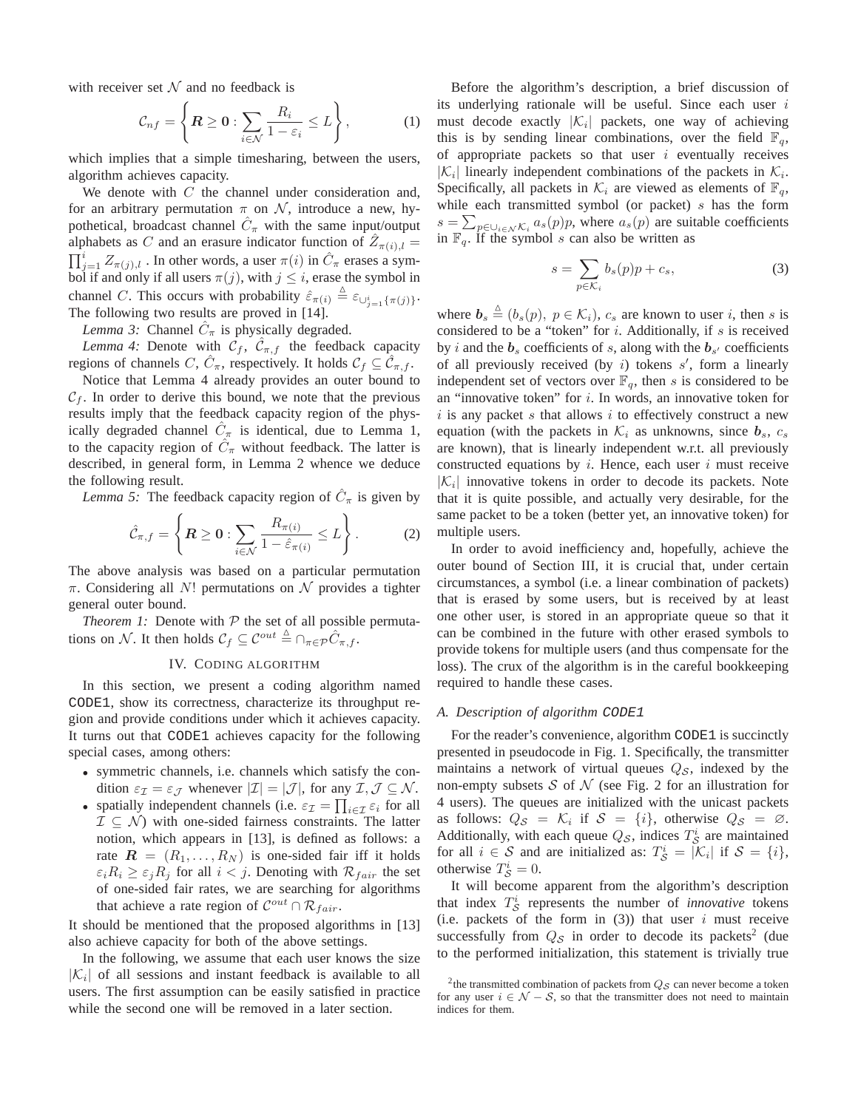with receiver set  $\mathcal N$  and no feedback is

$$
\mathcal{C}_{nf} = \left\{ \boldsymbol{R} \ge \boldsymbol{0} : \sum_{i \in \mathcal{N}} \frac{R_i}{1 - \varepsilon_i} \le L \right\},\tag{1}
$$

which implies that a simple timesharing, between the users, algorithm achieves capacity.

We denote with  $C$  the channel under consideration and, for an arbitrary permutation  $\pi$  on  $\mathcal{N}$ , introduce a new, hypothetical, broadcast channel  $\hat{C}_{\pi}$  with the same input/output alphabets as C and an erasure indicator function of  $\hat{Z}_{\pi(i),l}$  =  $\prod_{j=1}^{i} Z_{\pi(j),l}$ . In other words, a user  $\pi(i)$  in  $\hat{C}_{\pi}$  erases a symbol if and only if all users  $\pi(j)$ , with  $j \leq i$ , erase the symbol in channel C. This occurs with probability  $\hat{\varepsilon}_{\pi(i)} \triangleq \varepsilon_{\cup_{j=1}^{i} {\{\pi(j)\}}}.$ The following two results are proved in [14].

*Lemma 3:* Channel  $\hat{C}_{\pi}$  is physically degraded.

*Lemma 4:* Denote with  $\mathcal{C}_f$ ,  $\hat{\mathcal{C}}_{\pi,f}$  the feedback capacity regions of channels C,  $\hat{C}_{\pi}$ , respectively. It holds  $\mathcal{C}_f \subseteq \hat{\mathcal{C}}_{\pi,f}$ .

Notice that Lemma 4 already provides an outer bound to  $C_f$ . In order to derive this bound, we note that the previous results imply that the feedback capacity region of the physically degraded channel  $\hat{C}_{\pi}$  is identical, due to Lemma 1, to the capacity region of  $\hat{C}_{\pi}$  without feedback. The latter is described, in general form, in Lemma 2 whence we deduce the following result.

*Lemma 5:* The feedback capacity region of  $\hat{C}_{\pi}$  is given by

$$
\hat{\mathcal{C}}_{\pi,f} = \left\{ \boldsymbol{R} \ge \boldsymbol{0} : \sum_{i \in \mathcal{N}} \frac{R_{\pi(i)}}{1 - \hat{\varepsilon}_{\pi(i)}} \le L \right\}.
$$
 (2)

The above analysis was based on a particular permutation  $\pi$ . Considering all N! permutations on N provides a tighter general outer bound.

*Theorem 1:* Denote with  $P$  the set of all possible permutations on N. It then holds  $C_f \subseteq \mathcal{C}^{out} \triangleq \bigcap_{\pi \in \mathcal{P}} \hat{C}_{\pi, f}$ .

## IV. CODING ALGORITHM

In this section, we present a coding algorithm named CODE1, show its correctness, characterize its throughput region and provide conditions under which it achieves capacity. It turns out that CODE1 achieves capacity for the following special cases, among others:

- symmetric channels, i.e. channels which satisfy the condition  $\varepsilon_{\mathcal{I}} = \varepsilon_{\mathcal{J}}$  whenever  $|\mathcal{I}| = |\mathcal{J}|$ , for any  $\mathcal{I}, \mathcal{J} \subseteq \mathcal{N}$ .
- spatially independent channels (i.e.  $\varepsilon_{\mathcal{I}} = \prod_{i \in \mathcal{I}} \varepsilon_i$  for all  $\mathcal{I} \subseteq \mathcal{N}$  with one-sided fairness constraints. The latter notion, which appears in [13], is defined as follows: a rate  $\mathbf{R} = (R_1, \ldots, R_N)$  is one-sided fair iff it holds  $\epsilon_i R_i \geq \epsilon_j R_j$  for all  $i < j$ . Denoting with  $\mathcal{R}_{fair}$  the set of one-sided fair rates, we are searching for algorithms that achieve a rate region of  $\mathcal{C}^{out} \cap \mathcal{R}_{fair}$ .

It should be mentioned that the proposed algorithms in [13] also achieve capacity for both of the above settings.

In the following, we assume that each user knows the size  $|K_i|$  of all sessions and instant feedback is available to all users. The first assumption can be easily satisfied in practice while the second one will be removed in a later section.

Before the algorithm's description, a brief discussion of its underlying rationale will be useful. Since each user  $i$ must decode exactly  $|\mathcal{K}_i|$  packets, one way of achieving this is by sending linear combinations, over the field  $\mathbb{F}_q$ , of appropriate packets so that user  $i$  eventually receives  $|\mathcal{K}_i|$  linearly independent combinations of the packets in  $\mathcal{K}_i$ . Specifically, all packets in  $\mathcal{K}_i$  are viewed as elements of  $\mathbb{F}_q$ , while each transmitted symbol (or packet)  $s$  has the form  $s = \sum_{p \in \bigcup_{i \in \mathcal{N}} \mathcal{K}_i} a_s(p)p$ , where  $a_s(p)$  are suitable coefficients in  $\mathbb{F}_q$ . If the symbol s can also be written as

$$
s = \sum_{p \in \mathcal{K}_i} b_s(p)p + c_s,
$$
 (3)

where  $\mathbf{b}_s \triangleq (b_s(p), p \in \mathcal{K}_i)$ ,  $c_s$  are known to user i, then s is considered to be a "token" for  $i$ . Additionally, if  $s$  is received by *i* and the  $b_s$  coefficients of *s*, along with the  $b_{s'}$  coefficients of all previously received (by  $i$ ) tokens  $s'$ , form a linearly independent set of vectors over  $\mathbb{F}_q$ , then s is considered to be an "innovative token" for  $i$ . In words, an innovative token for  $i$  is any packet s that allows  $i$  to effectively construct a new equation (with the packets in  $\mathcal{K}_i$  as unknowns, since  $b_s$ ,  $c_s$ are known), that is linearly independent w.r.t. all previously constructed equations by i. Hence, each user i must receive  $|K_i|$  innovative tokens in order to decode its packets. Note that it is quite possible, and actually very desirable, for the same packet to be a token (better yet, an innovative token) for multiple users.

In order to avoid inefficiency and, hopefully, achieve the outer bound of Section III, it is crucial that, under certain circumstances, a symbol (i.e. a linear combination of packets) that is erased by some users, but is received by at least one other user, is stored in an appropriate queue so that it can be combined in the future with other erased symbols to provide tokens for multiple users (and thus compensate for the loss). The crux of the algorithm is in the careful bookkeeping required to handle these cases.

#### *A. Description of algorithm* CODE1

For the reader's convenience, algorithm CODE1 is succinctly presented in pseudocode in Fig. 1. Specifically, the transmitter maintains a network of virtual queues  $Q_{\mathcal{S}}$ , indexed by the non-empty subsets  $S$  of  $N$  (see Fig. 2 for an illustration for 4 users). The queues are initialized with the unicast packets as follows:  $Q_{\mathcal{S}} = \mathcal{K}_i$  if  $\mathcal{S} = \{i\}$ , otherwise  $Q_{\mathcal{S}} = \emptyset$ . Additionally, with each queue  $Q_{\mathcal{S}}$ , indices  $T_{\mathcal{S}}^{i}$  are maintained for all  $i \in S$  and are initialized as:  $T_S^i = |\mathcal{K}_i|$  if  $S = \{i\},$ otherwise  $T_{\mathcal{S}}^i = 0$ .

It will become apparent from the algorithm's description that index  $T_S^i$  represents the number of *innovative* tokens (i.e. packets of the form in  $(3)$ ) that user i must receive successfully from  $Q_{\mathcal{S}}$  in order to decode its packets<sup>2</sup> (due to the performed initialization, this statement is trivially true

<sup>&</sup>lt;sup>2</sup>the transmitted combination of packets from  $Q_{\mathcal{S}}$  can never become a token for any user  $i \in \mathcal{N} - \mathcal{S}$ , so that the transmitter does not need to maintain indices for them.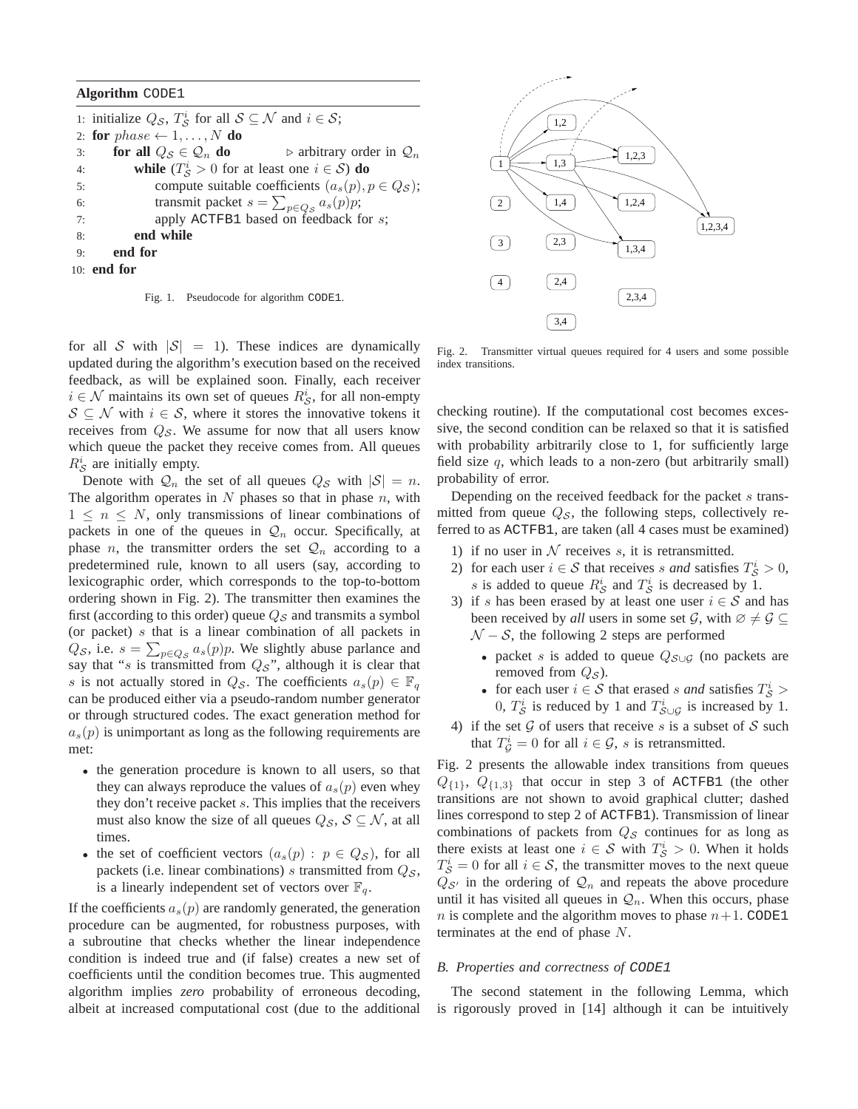### **Algorithm** CODE1

1: initialize  $Q_{\mathcal{S}}$ ,  $T_{\mathcal{S}}^i$  for all  $\mathcal{S} \subseteq \mathcal{N}$  and  $i \in \mathcal{S}$ ; 2: **for**  $phase \leftarrow 1, \ldots, N$  **do** 3: **for all**  $Q_{\mathcal{S}} \in \mathcal{Q}_n$  **do**  $\triangleright$  arbitrary order in  $\mathcal{Q}_n$ 4: **while**  $(T_S^i > 0$  for at least one  $i \in S$ ) **do** 5: compute suitable coefficients  $(a_s(p), p \in Q_S)$ ; 6: transmit packet  $s = \sum_{p \in Q_S} a_s(p)p;$ 7: apply ACTFB1 based on feedback for s; 8: **end while** 9: **end for** 10: **end for**

Fig. 1. Pseudocode for algorithm CODE1.

for all S with  $|S| = 1$ ). These indices are dynamically updated during the algorithm's execution based on the received feedback, as will be explained soon. Finally, each receiver  $i \in \mathcal{N}$  maintains its own set of queues  $R_S^i$ , for all non-empty  $S \subseteq \mathcal{N}$  with  $i \in \mathcal{S}$ , where it stores the innovative tokens it receives from  $Q_{\mathcal{S}}$ . We assume for now that all users know which queue the packet they receive comes from. All queues  $R_{\mathcal{S}}^{i}$  are initially empty.

Denote with  $Q_n$  the set of all queues  $Q_S$  with  $|S| = n$ . The algorithm operates in  $N$  phases so that in phase  $n$ , with  $1 \leq n \leq N$ , only transmissions of linear combinations of packets in one of the queues in  $\mathcal{Q}_n$  occur. Specifically, at phase *n*, the transmitter orders the set  $\mathcal{Q}_n$  according to a predetermined rule, known to all users (say, according to lexicographic order, which corresponds to the top-to-bottom ordering shown in Fig. 2). The transmitter then examines the first (according to this order) queue  $Q_{\mathcal{S}}$  and transmits a symbol (or packet) s that is a linear combination of all packets in  $Q_{\mathcal{S}}$ , i.e.  $s = \sum_{p \in Q_{\mathcal{S}}} a_s(p)p$ . We slightly abuse parlance and say that "s is transmitted from  $Q_S$ ", although it is clear that s is not actually stored in  $Q_{\mathcal{S}}$ . The coefficients  $a_s(p) \in \mathbb{F}_q$ can be produced either via a pseudo-random number generator or through structured codes. The exact generation method for  $a_s(p)$  is unimportant as long as the following requirements are met:

- the generation procedure is known to all users, so that they can always reproduce the values of  $a_s(p)$  even whey they don't receive packet s. This implies that the receivers must also know the size of all queues  $Q_{\mathcal{S}}, \mathcal{S} \subseteq \mathcal{N}$ , at all times.
- the set of coefficient vectors  $(a_s(p) : p \in Q_S)$ , for all packets (i.e. linear combinations) s transmitted from  $Q_{\mathcal{S}}$ , is a linearly independent set of vectors over  $\mathbb{F}_q$ .

If the coefficients  $a_s(p)$  are randomly generated, the generation procedure can be augmented, for robustness purposes, with a subroutine that checks whether the linear independence condition is indeed true and (if false) creates a new set of coefficients until the condition becomes true. This augmented algorithm implies *zero* probability of erroneous decoding, albeit at increased computational cost (due to the additional



Fig. 2. Transmitter virtual queues required for 4 users and some possible index transitions.

checking routine). If the computational cost becomes excessive, the second condition can be relaxed so that it is satisfied with probability arbitrarily close to 1, for sufficiently large field size  $q$ , which leads to a non-zero (but arbitrarily small) probability of error.

Depending on the received feedback for the packet s transmitted from queue  $Q_{\mathcal{S}}$ , the following steps, collectively referred to as ACTFB1, are taken (all 4 cases must be examined)

- 1) if no user in  $N$  receives s, it is retransmitted.
- 2) for each user  $i \in S$  that receives s and satisfies  $T_S^i > 0$ , s is added to queue  $R_S^i$  and  $T_S^i$  is decreased by 1.
- 3) if s has been erased by at least one user  $i \in S$  and has been received by *all* users in some set  $\mathcal{G}$ , with  $\emptyset \neq \mathcal{G} \subset$  $N - S$ , the following 2 steps are performed
	- packet s is added to queue  $Q_{S\cup G}$  (no packets are removed from  $Q_{\mathcal{S}}$ ).
	- for each user  $i \in S$  that erased s and satisfies  $T_S^i$  > 0,  $T_S^i$  is reduced by 1 and  $T_{S \cup G}^i$  is increased by 1.
- 4) if the set  $G$  of users that receive s is a subset of S such that  $T_{\mathcal{G}}^i = 0$  for all  $i \in \mathcal{G}$ , s is retransmitted.

Fig. 2 presents the allowable index transitions from queues  $Q_{\{1\}}, Q_{\{1,3\}}$  that occur in step 3 of ACTFB1 (the other transitions are not shown to avoid graphical clutter; dashed lines correspond to step 2 of ACTFB1). Transmission of linear combinations of packets from  $Q_{\mathcal{S}}$  continues for as long as there exists at least one  $i \in S$  with  $T_S^i > 0$ . When it holds  $T_{\mathcal{S}}^i = 0$  for all  $i \in \mathcal{S}$ , the transmitter moves to the next queue  $Q_{\mathcal{S}}$  in the ordering of  $\mathcal{Q}_n$  and repeats the above procedure until it has visited all queues in  $\mathcal{Q}_n$ . When this occurs, phase n is complete and the algorithm moves to phase  $n+1$ . CODE1 terminates at the end of phase N.

#### *B. Properties and correctness of* CODE1

The second statement in the following Lemma, which is rigorously proved in [14] although it can be intuitively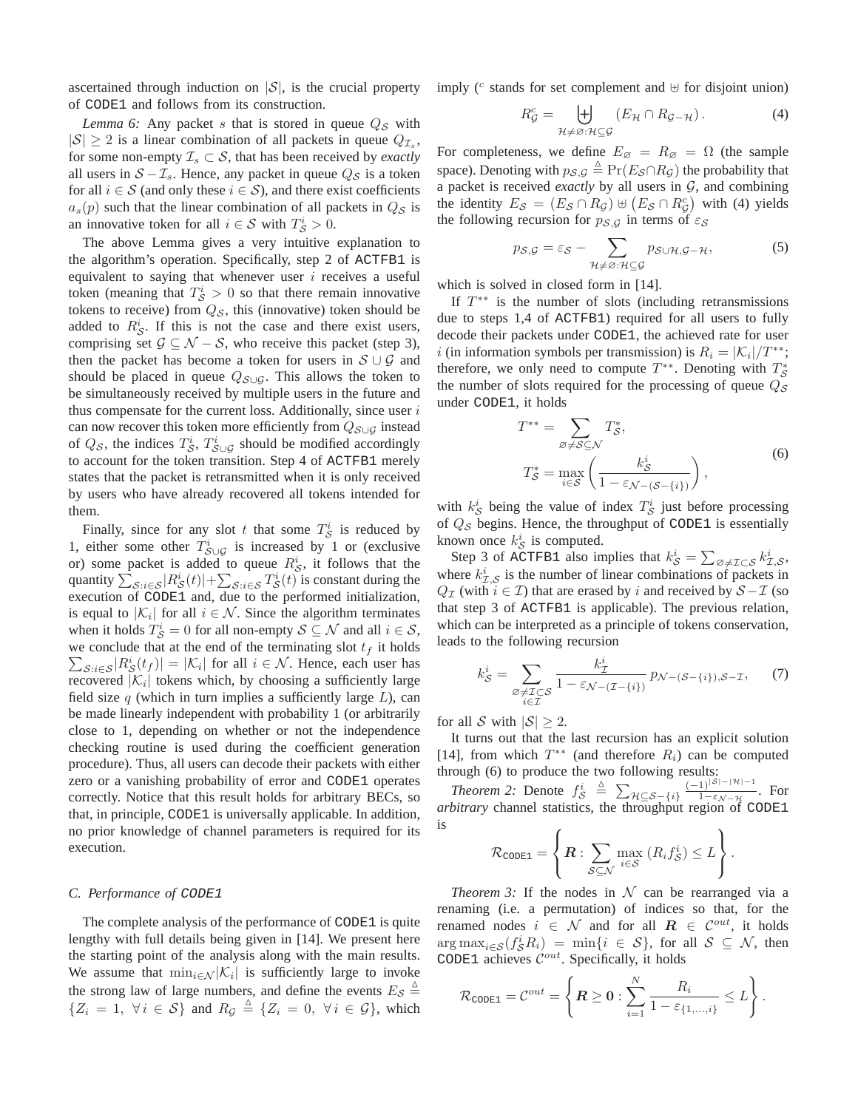ascertained through induction on  $|S|$ , is the crucial property of CODE1 and follows from its construction.

*Lemma 6:* Any packet s that is stored in queue  $Q_{\mathcal{S}}$  with  $|S| \ge 2$  is a linear combination of all packets in queue  $Q_{\mathcal{I}_s}$ , for some non-empty  $\mathcal{I}_s \subset \mathcal{S}$ , that has been received by *exactly* all users in  $S - \mathcal{I}_s$ . Hence, any packet in queue  $Q_S$  is a token for all  $i \in S$  (and only these  $i \in S$ ), and there exist coefficients  $a_s(p)$  such that the linear combination of all packets in  $Q_{\mathcal{S}}$  is an innovative token for all  $i \in S$  with  $T_S^i > 0$ .

The above Lemma gives a very intuitive explanation to the algorithm's operation. Specifically, step 2 of ACTFB1 is equivalent to saying that whenever user  $i$  receives a useful token (meaning that  $T_S^i > 0$  so that there remain innovative tokens to receive) from  $Q_{\mathcal{S}}$ , this (innovative) token should be added to  $R_S^i$ . If this is not the case and there exist users, comprising set  $\mathcal{G} \subseteq \mathcal{N} - \mathcal{S}$ , who receive this packet (step 3), then the packet has become a token for users in  $S \cup G$  and should be placed in queue  $Q_{\mathcal{S}\cup\mathcal{G}}$ . This allows the token to be simultaneously received by multiple users in the future and thus compensate for the current loss. Additionally, since user  $i$ can now recover this token more efficiently from  $Q_{S\cup G}$  instead of  $Q_{\mathcal{S}}$ , the indices  $T_{\mathcal{S}}^i$ ,  $T_{\mathcal{S}\cup\mathcal{G}}^i$  should be modified accordingly to account for the token transition. Step 4 of ACTFB1 merely states that the packet is retransmitted when it is only received by users who have already recovered all tokens intended for them.

Finally, since for any slot t that some  $T_S^i$  is reduced by 1, either some other  $T_{\mathcal{S}\cup\mathcal{G}}^{i}$  is increased by 1 or (exclusive or) some packet is added to queue  $R^i_{\mathcal{S}}$ , it follows that the quantity  $\sum_{\mathcal{S}:i\in\mathcal{S}}|R_{\mathcal{S}}^i(t)|+\sum_{\mathcal{S}:i\in\mathcal{S}}T_{\mathcal{S}}^i(t)$  is constant during the execution of CODE1 and, due to the performed initialization, is equal to  $|\mathcal{K}_i|$  for all  $i \in \mathcal{N}$ . Since the algorithm terminates when it holds  $T_{\mathcal{S}}^i = 0$  for all non-empty  $\mathcal{S} \subseteq \mathcal{N}$  and all  $i \in \mathcal{S}$ ,  $\sum_{\mathcal{S}:i\in\mathcal{S}}|R_{\mathcal{S}}^{i}(t_{f})|=|\mathcal{K}_{i}|$  for all  $i\in\mathcal{N}$ . Hence, each user has we conclude that at the end of the terminating slot  $t_f$  it holds recovered  $|\mathcal{K}_i|$  tokens which, by choosing a sufficiently large field size  $q$  (which in turn implies a sufficiently large  $L$ ), can be made linearly independent with probability 1 (or arbitrarily close to 1, depending on whether or not the independence checking routine is used during the coefficient generation procedure). Thus, all users can decode their packets with either zero or a vanishing probability of error and CODE1 operates correctly. Notice that this result holds for arbitrary BECs, so that, in principle, CODE1 is universally applicable. In addition, no prior knowledge of channel parameters is required for its execution.

## *C. Performance of* CODE1

The complete analysis of the performance of CODE1 is quite lengthy with full details being given in [14]. We present here the starting point of the analysis along with the main results. We assume that  $\min_{i \in \mathcal{N}} |\mathcal{K}_i|$  is sufficiently large to invoke the strong law of large numbers, and define the events  $E_{\mathcal{S}} \triangleq$  ${Z_i = 1, \forall i \in S}$  and  $R_{\mathcal{G}} \triangleq {Z_i = 0, \forall i \in \mathcal{G}}$ , which

imply ( $c$  stands for set complement and  $⊎$  for disjoint union)

$$
R_G^c = \biguplus_{\mathcal{H} \neq \varnothing: \mathcal{H} \subseteq \mathcal{G}} (E_{\mathcal{H}} \cap R_{\mathcal{G} - \mathcal{H}}). \tag{4}
$$

For completeness, we define  $E_{\emptyset} = R_{\emptyset} = \Omega$  (the sample space). Denoting with  $p_{\mathcal{S},\mathcal{G}} \triangleq Pr(E_{\mathcal{S}} \cap R_{\mathcal{G}})$  the probability that a packet is received *exactly* by all users in  $G$ , and combining the identity  $E_S = (E_S \cap R_G) \uplus (E_S \cap R_G^c)$  with (4) yields the following recursion for  $p_{\mathcal{S},\mathcal{G}}$  in terms of  $\varepsilon_{\mathcal{S}}$ 

$$
p_{\mathcal{S},\mathcal{G}} = \varepsilon_{\mathcal{S}} - \sum_{\mathcal{H}\neq\varnothing:\mathcal{H}\subseteq\mathcal{G}} p_{\mathcal{S}\cup\mathcal{H},\mathcal{G}-\mathcal{H}},\tag{5}
$$

which is solved in closed form in [14].

If  $T^{**}$  is the number of slots (including retransmissions due to steps 1,4 of ACTFB1) required for all users to fully decode their packets under CODE1, the achieved rate for user *i* (in information symbols per transmission) is  $R_i = |\mathcal{K}_i|/T^{**}$ ; therefore, we only need to compute  $T^{**}$ . Denoting with  $T^*_{\mathcal{S}}$ the number of slots required for the processing of queue  $Q_{\mathcal{S}}$ under CODE1, it holds

$$
T^{**} = \sum_{\varnothing \neq S \subseteq \mathcal{N}} T_{\mathcal{S}}^*,
$$
  
\n
$$
T_{\mathcal{S}}^* = \max_{i \in \mathcal{S}} \left( \frac{k_{\mathcal{S}}^i}{1 - \varepsilon_{\mathcal{N} - (\mathcal{S} - \{i\})}} \right),
$$
\n(6)

with  $k_{\mathcal{S}}^{i}$  being the value of index  $T_{\mathcal{S}}^{i}$  just before processing of  $Q_{\mathcal{S}}$  begins. Hence, the throughput of CODE1 is essentially known once  $k_{\mathcal{S}}^{i}$  is computed.

Step 3 of ACTFB1 also implies that  $k_S^i = \sum_{\emptyset \neq \mathcal{I} \subset \mathcal{S}} k_{\mathcal{I},\mathcal{S}}^i$ , where  $k_{\mathcal{I},\mathcal{S}}^i$  is the number of linear combinations of packets in  $Q_{\mathcal{I}}$  (with  $i \in \mathcal{I}$ ) that are erased by i and received by  $S - \mathcal{I}$  (so that step 3 of ACTFB1 is applicable). The previous relation, which can be interpreted as a principle of tokens conservation, leads to the following recursion

$$
k_{\mathcal{S}}^{i} = \sum_{\substack{\mathcal{S} \neq \mathcal{I} \subset \mathcal{S} \\ i \in \mathcal{I}}} \frac{k_{\mathcal{I}}^{i}}{1 - \varepsilon_{\mathcal{N} - (\mathcal{I} - \{i\})}} p_{\mathcal{N} - (\mathcal{S} - \{i\}), \mathcal{S} - \mathcal{I}}, \tag{7}
$$

for all S with  $|S| > 2$ .

It turns out that the last recursion has an explicit solution [14], from which  $T^{**}$  (and therefore  $R_i$ ) can be computed through (6) to produce the two following results:

*Theorem 2:* Denote  $f_S^i \triangleq \sum_{\mathcal{H} \subseteq \mathcal{S} - \{i\}} \frac{(-1)^{|\mathcal{S}| - |\mathcal{H}| - 1}}{1 - \epsilon_{\mathcal{N}} - \mathcal{H}}$  $\frac{1}{1-\epsilon_{\mathcal{N}-\mathcal{H}}}$ . For *arbitrary* channel statistics, the throughput region of CODE1 is

$$
\mathcal{R}_{\text{CODE1}} = \left\{ \boldsymbol{R} : \sum_{\mathcal{S} \subseteq \mathcal{N}} \max_{i \in \mathcal{S}} \left( R_i f_{\mathcal{S}}^i \right) \leq L \right\}.
$$

*Theorem 3:* If the nodes in  $N$  can be rearranged via a renaming (i.e. a permutation) of indices so that, for the renamed nodes  $i \in \mathcal{N}$  and for all  $\mathbf{R} \in \mathcal{C}^{out}$ , it holds  $\arg \max_{i \in \mathcal{S}} (f_{\mathcal{S}}^i R_i) = \min \{ i \in \mathcal{S} \}, \text{ for all } \mathcal{S} \subseteq \mathcal{N}, \text{ then}$ CODE1 achieves  $\mathcal{C}^{out}$ . Specifically, it holds

$$
\mathcal{R}_{\texttt{CODE1}} = \mathcal{C}^{out} = \left\{ \boldsymbol{R} \geq \boldsymbol{0} : \sum_{i=1}^{N} \frac{R_i}{1 - \varepsilon_{\{1,\ldots,i\}}} \leq L \right\}.
$$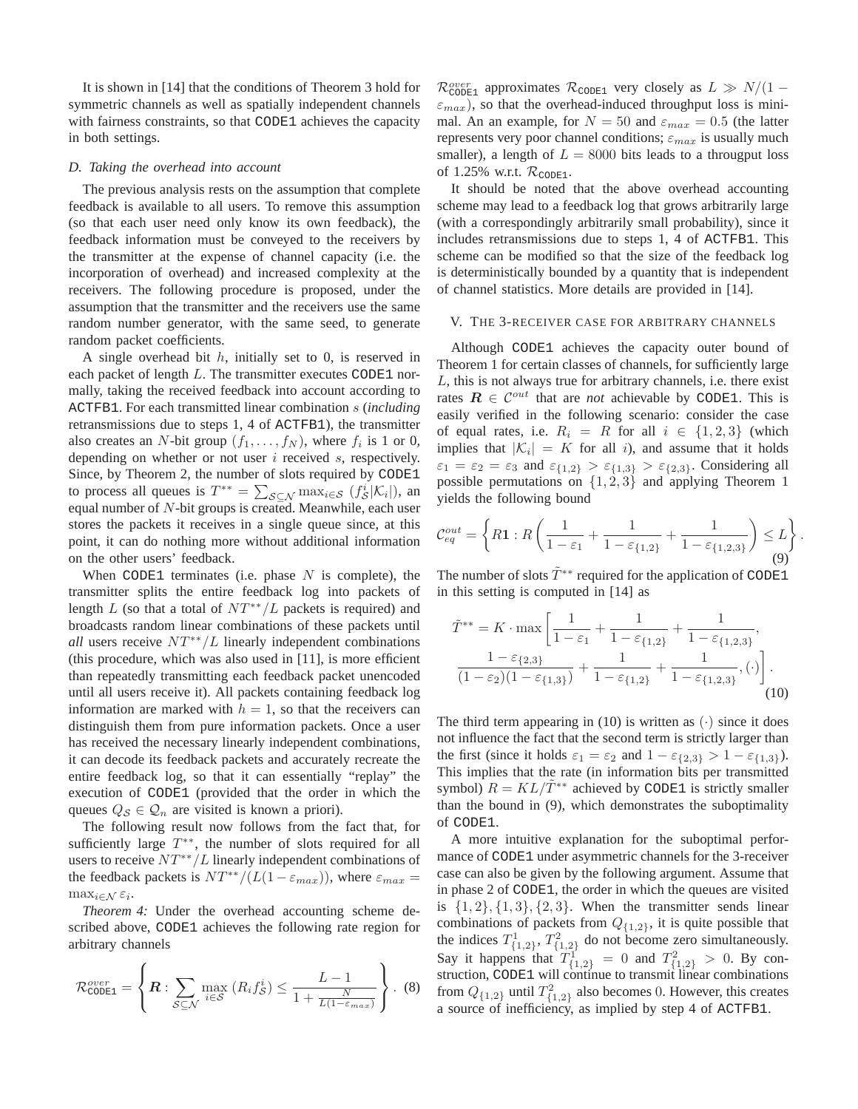It is shown in [14] that the conditions of Theorem 3 hold for symmetric channels as well as spatially independent channels with fairness constraints, so that CODE1 achieves the capacity in both settings.

## *D. Taking the overhead into account*

The previous analysis rests on the assumption that complete feedback is available to all users. To remove this assumption (so that each user need only know its own feedback), the feedback information must be conveyed to the receivers by the transmitter at the expense of channel capacity (i.e. the incorporation of overhead) and increased complexity at the receivers. The following procedure is proposed, under the assumption that the transmitter and the receivers use the same random number generator, with the same seed, to generate random packet coefficients.

A single overhead bit  $h$ , initially set to 0, is reserved in each packet of length  $L$ . The transmitter executes CODE1 normally, taking the received feedback into account according to ACTFB1. For each transmitted linear combination s (*including* retransmissions due to steps 1, 4 of ACTFB1), the transmitter also creates an N-bit group  $(f_1, \ldots, f_N)$ , where  $f_i$  is 1 or 0, depending on whether or not user  $i$  received  $s$ , respectively. Since, by Theorem 2, the number of slots required by CODE1 to process all queues is  $T^{**} = \sum_{\mathcal{S} \subseteq \mathcal{N}} \max_{i \in \mathcal{S}} (f_{\mathcal{S}}^i | \mathcal{K}_i|),$  and equal number of N-bit groups is created. Meanwhile, each user stores the packets it receives in a single queue since, at this point, it can do nothing more without additional information on the other users' feedback.

When CODE1 terminates (i.e. phase  $N$  is complete), the transmitter splits the entire feedback log into packets of length L (so that a total of  $NT^{**}/L$  packets is required) and broadcasts random linear combinations of these packets until *all* users receive  $NT^{**}/L$  linearly independent combinations (this procedure, which was also used in [11], is more efficient than repeatedly transmitting each feedback packet unencoded until all users receive it). All packets containing feedback log information are marked with  $h = 1$ , so that the receivers can distinguish them from pure information packets. Once a user has received the necessary linearly independent combinations, it can decode its feedback packets and accurately recreate the entire feedback log, so that it can essentially "replay" the execution of CODE1 (provided that the order in which the queues  $Q_{\mathcal{S}} \in \mathcal{Q}_n$  are visited is known a priori).

The following result now follows from the fact that, for sufficiently large  $T^{**}$ , the number of slots required for all users to receive  $NT^{**}/L$  linearly independent combinations of the feedback packets is  $NT^{**}/(L(1 - \varepsilon_{max}))$ , where  $\varepsilon_{max} =$  $\max_{i \in \mathcal{N}} \varepsilon_i$ .

*Theorem 4:* Under the overhead accounting scheme described above, CODE1 achieves the following rate region for arbitrary channels

$$
\mathcal{R}_{\text{CODE1}}^{over} = \left\{ \boldsymbol{R} : \sum_{\mathcal{S} \subseteq \mathcal{N}} \max_{i \in \mathcal{S}} \left( R_i f_{\mathcal{S}}^i \right) \le \frac{L - 1}{1 + \frac{N}{L(1 - \varepsilon_{max})}} \right\} .
$$
 (8)

 $\mathcal{R}_{\text{CODE1}}^{over}$  approximates  $\mathcal{R}_{\text{CODE1}}$  very closely as  $L \gg N/(1 \varepsilon_{max}$ ), so that the overhead-induced throughput loss is minimal. An an example, for  $N = 50$  and  $\varepsilon_{max} = 0.5$  (the latter represents very poor channel conditions;  $\varepsilon_{max}$  is usually much smaller), a length of  $L = 8000$  bits leads to a througput loss of 1.25% w.r.t.  $\mathcal{R}_{\text{CODE1}}$ .

It should be noted that the above overhead accounting scheme may lead to a feedback log that grows arbitrarily large (with a correspondingly arbitrarily small probability), since it includes retransmissions due to steps 1, 4 of ACTFB1. This scheme can be modified so that the size of the feedback log is deterministically bounded by a quantity that is independent of channel statistics. More details are provided in [14].

### V. THE 3-RECEIVER CASE FOR ARBITRARY CHANNELS

Although CODE1 achieves the capacity outer bound of Theorem 1 for certain classes of channels, for sufficiently large  $L$ , this is not always true for arbitrary channels, i.e. there exist rates  $\mathbf{R} \in \mathcal{C}^{out}$  that are *not* achievable by CODE1. This is easily verified in the following scenario: consider the case of equal rates, i.e.  $R_i = R$  for all  $i \in \{1,2,3\}$  (which implies that  $|K_i| = K$  for all i), and assume that it holds  $\varepsilon_1 = \varepsilon_2 = \varepsilon_3$  and  $\varepsilon_{\{1,2\}} > \varepsilon_{\{1,3\}} > \varepsilon_{\{2,3\}}$ . Considering all possible permutations on  $\{1, 2, 3\}$  and applying Theorem 1 yields the following bound

$$
\mathcal{C}_{eq}^{out} = \left\{ R \mathbf{1} : R \left( \frac{1}{1 - \varepsilon_1} + \frac{1}{1 - \varepsilon_{\{1,2\}}} + \frac{1}{1 - \varepsilon_{\{1,2,3\}}} \right) \le L \right\}
$$
(9)

.

The number of slots  $\tilde{T}^{**}$  required for the application of CODE1 in this setting is computed in [14] as

$$
\tilde{T}^{**} = K \cdot \max \left[ \frac{1}{1 - \varepsilon_1} + \frac{1}{1 - \varepsilon_{\{1,2\}}} + \frac{1}{1 - \varepsilon_{\{1,2,3\}}}, \frac{1 - \varepsilon_{\{2,3\}}}{(1 - \varepsilon_2)(1 - \varepsilon_{\{1,3\}})} + \frac{1}{1 - \varepsilon_{\{1,2\}}} + \frac{1}{1 - \varepsilon_{\{1,2,3\}}}, (\cdot) \right].
$$
\n(10)

The third term appearing in (10) is written as  $(\cdot)$  since it does not influence the fact that the second term is strictly larger than the first (since it holds  $\varepsilon_1 = \varepsilon_2$  and  $1 - \varepsilon_{\{2,3\}} > 1 - \varepsilon_{\{1,3\}}$ ). This implies that the rate (in information bits per transmitted symbol)  $R = KL/\tilde{T}^{**}$  achieved by CODE1 is strictly smaller than the bound in (9), which demonstrates the suboptimality of CODE1.

A more intuitive explanation for the suboptimal performance of CODE1 under asymmetric channels for the 3-receiver case can also be given by the following argument. Assume that in phase 2 of CODE1, the order in which the queues are visited is  $\{1, 2\}, \{1, 3\}, \{2, 3\}.$  When the transmitter sends linear combinations of packets from  $Q_{\{1,2\}}$ , it is quite possible that the indices  $T^1_{\{1,2\}}$ ,  $T^2_{\{1,2\}}$  do not become zero simultaneously. Say it happens that  $T_{\{1,2\}}^1 = 0$  and  $T_{\{1,2\}}^2 > 0$ . By construction, CODE1 will continue to transmit linear combinations from  $Q_{\{1,2\}}$  until  $T_{\{1,2\}}^2$  also becomes 0. However, this creates a source of inefficiency, as implied by step 4 of ACTFB1.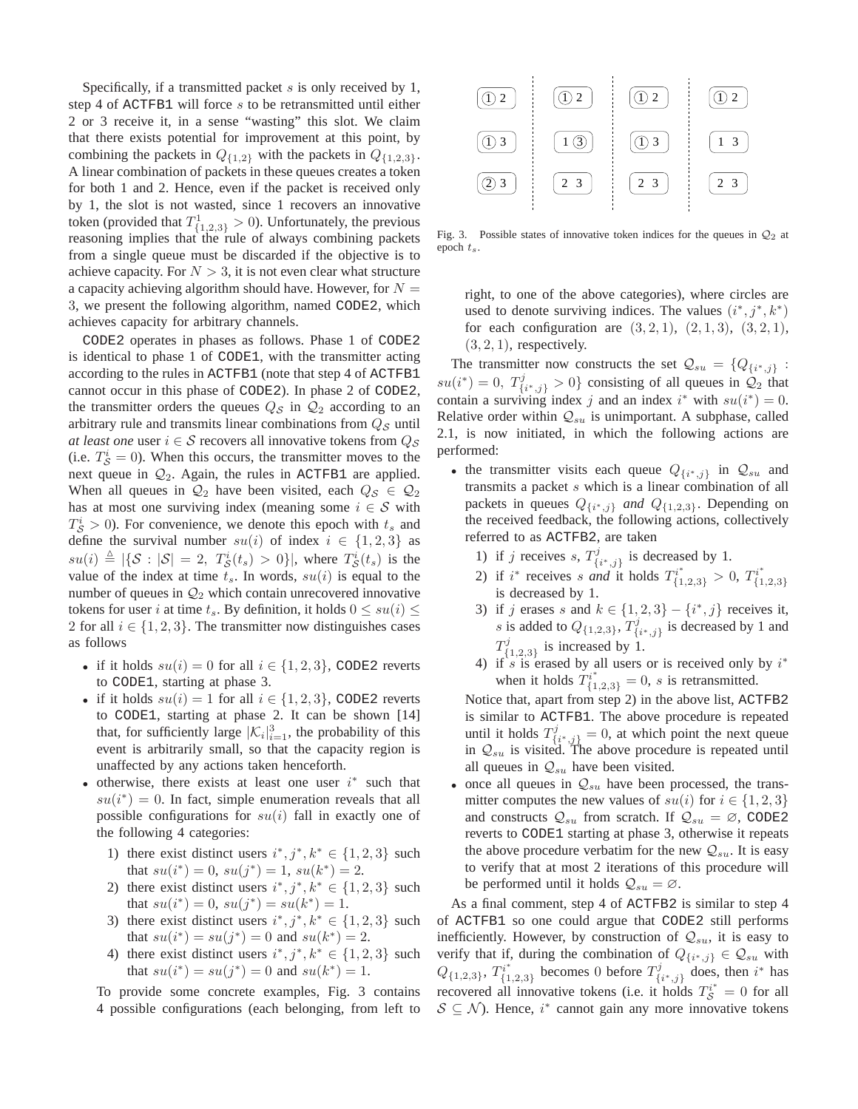Specifically, if a transmitted packet  $s$  is only received by 1, step 4 of ACTFB1 will force s to be retransmitted until either 2 or 3 receive it, in a sense "wasting" this slot. We claim that there exists potential for improvement at this point, by combining the packets in  $Q_{\{1,2\}}$  with the packets in  $Q_{\{1,2,3\}}$ . A linear combination of packets in these queues creates a token for both 1 and 2. Hence, even if the packet is received only by 1, the slot is not wasted, since 1 recovers an innovative token (provided that  $T^1_{\{1,2,3\}} > 0$ ). Unfortunately, the previous reasoning implies that the rule of always combining packets from a single queue must be discarded if the objective is to achieve capacity. For  $N > 3$ , it is not even clear what structure a capacity achieving algorithm should have. However, for  $N =$ 3, we present the following algorithm, named CODE2, which achieves capacity for arbitrary channels.

CODE2 operates in phases as follows. Phase 1 of CODE2 is identical to phase 1 of CODE1, with the transmitter acting according to the rules in ACTFB1 (note that step 4 of ACTFB1 cannot occur in this phase of CODE2). In phase 2 of CODE2, the transmitter orders the queues  $Q_{\mathcal{S}}$  in  $\mathcal{Q}_2$  according to an arbitrary rule and transmits linear combinations from  $Q_{\mathcal{S}}$  until *at least one* user  $i \in S$  recovers all innovative tokens from  $Q_S$ (i.e.  $T_S^i = 0$ ). When this occurs, the transmitter moves to the next queue in  $Q_2$ . Again, the rules in ACTFB1 are applied. When all queues in  $\mathcal{Q}_2$  have been visited, each  $Q_{\mathcal{S}} \in \mathcal{Q}_2$ has at most one surviving index (meaning some  $i \in S$  with  $T_S^i > 0$ ). For convenience, we denote this epoch with  $t_s$  and define the survival number  $su(i)$  of index  $i \in \{1,2,3\}$  as  $su(i) \triangleq |\{S : |S| = 2, T_S^i(t_s) > 0\}|$ , where  $T_S^i(t_s)$  is the value of the index at time  $t_s$ . In words,  $su(i)$  is equal to the number of queues in  $\mathcal{Q}_2$  which contain unrecovered innovative tokens for user i at time  $t_s$ . By definition, it holds  $0 \leq su(i) \leq$ 2 for all  $i \in \{1, 2, 3\}$ . The transmitter now distinguishes cases as follows

- if it holds  $su(i) = 0$  for all  $i \in \{1, 2, 3\}$ , CODE2 reverts to CODE1, starting at phase 3.
- if it holds  $su(i) = 1$  for all  $i \in \{1, 2, 3\}$ , CODE2 reverts to CODE1, starting at phase 2. It can be shown [14] that, for sufficiently large  $|\mathcal{K}_i|_{i=1}^3$ , the probability of this event is arbitrarily small, so that the capacity region is unaffected by any actions taken henceforth.
- otherwise, there exists at least one user  $i^*$  such that  $su(i^*) = 0$ . In fact, simple enumeration reveals that all possible configurations for  $su(i)$  fall in exactly one of the following 4 categories:
	- 1) there exist distinct users  $i^*, j^*, k^* \in \{1, 2, 3\}$  such that  $su(i^*) = 0$ ,  $su(j^*) = 1$ ,  $su(k^*) = 2$ .
	- 2) there exist distinct users  $i^*, j^*, k^* \in \{1, 2, 3\}$  such that  $su(i^*) = 0$ ,  $su(j^*) = su(k^*) = 1$ .
	- 3) there exist distinct users  $i^*, j^*, k^* \in \{1, 2, 3\}$  such that  $su(i^*) = su(j^*) = 0$  and  $su(k^*) = 2$ .
	- 4) there exist distinct users  $i^*, j^*, k^* \in \{1, 2, 3\}$  such that  $su(i^*) = su(j^*) = 0$  and  $su(k^*) = 1$ .

To provide some concrete examples, Fig. 3 contains 4 possible configurations (each belonging, from left to



Fig. 3. Possible states of innovative token indices for the queues in  $\mathcal{Q}_2$  at epoch  $t_s$ .

right, to one of the above categories), where circles are used to denote surviving indices. The values  $(i^*, j^*, k^*)$ for each configuration are  $(3, 2, 1)$ ,  $(2, 1, 3)$ ,  $(3, 2, 1)$ ,  $(3, 2, 1)$ , respectively.

The transmitter now constructs the set  $\mathcal{Q}_{su} = \{Q_{\{i^*,j\}}\}$ :  $su(i^*) = 0$ ,  $T^j_{\{i^*,j\}} > 0$ } consisting of all queues in  $\mathcal{Q}_2$  that contain a surviving index j and an index  $i^*$  with  $su(i^*) = 0$ . Relative order within  $Q_{su}$  is unimportant. A subphase, called 2.1, is now initiated, in which the following actions are performed:

- the transmitter visits each queue  $Q_{\{i^*,j\}}$  in  $Q_{su}$  and transmits a packet  $s$  which is a linear combination of all packets in queues  $Q_{\{i^*,j\}}$  *and*  $Q_{\{1,2,3\}}$ . Depending on the received feedback, the following actions, collectively referred to as ACTFB2, are taken
	- 1) if j receives s,  $T_i^j$  $\{i^*,j\}$  is decreased by 1.
	- 2) if *i*<sup>\*</sup> receives *s* and it holds  $T_{\{1,2,3\}}^{i^*} > 0$ ,  $T_{\{1\}}^{i^*}$  ${1,2,3}$ is decreased by 1.
	- 3) if j erases s and  $k \in \{1, 2, 3\} \{i^*, j\}$  receives it, *s* is added to  $Q_{\{1,2,3\}}$ ,  $T_{\{1,3,4\}}^j$  $\{i^*,j\}$  is decreased by 1 and  $T^j_\ell$  $\{1,2,3\}$  is increased by 1.
	- 4) if s is erased by all users or is received only by  $i^*$ when it holds  $T_{\{1,2,3\}}^{i^*} = 0$ , *s* is retransmitted.

Notice that, apart from step 2) in the above list, ACTFB2 is similar to ACTFB1. The above procedure is repeated until it holds  $T_f^j$  ${\mathcal{V}}_{\{i^*,j\}}^j = 0$ , at which point the next queue in  $Q_{su}$  is visited. The above procedure is repeated until all queues in  $Q_{su}$  have been visited.

• once all queues in  $Q_{su}$  have been processed, the transmitter computes the new values of  $su(i)$  for  $i \in \{1,2,3\}$ and constructs  $Q_{su}$  from scratch. If  $Q_{su} = \emptyset$ , CODE2 reverts to CODE1 starting at phase 3, otherwise it repeats the above procedure verbatim for the new  $\mathcal{Q}_{su}$ . It is easy to verify that at most 2 iterations of this procedure will be performed until it holds  $Q_{su} = \emptyset$ .

As a final comment, step 4 of ACTFB2 is similar to step 4 of ACTFB1 so one could argue that CODE2 still performs inefficiently. However, by construction of  $\mathcal{Q}_{su}$ , it is easy to verify that if, during the combination of  $Q_{\{i^*,j\}} \in \mathcal{Q}_{su}$  with  $Q_{\{1,2,3\}}, T_{\{1\}}^{i^*}$  $\begin{bmatrix} \gamma i^* \\ \{1,2,3\} \end{bmatrix}$  becomes 0 before  $T^j_{\{1,2,3\}}$  ${q_i^j}_{i^*,j}$  does, then  $i^*$  has recovered all innovative tokens (i.e. it holds  $T_{\mathcal{S}}^{i^*} = 0$  for all  $S \subseteq \mathcal{N}$ ). Hence, i\* cannot gain any more innovative tokens